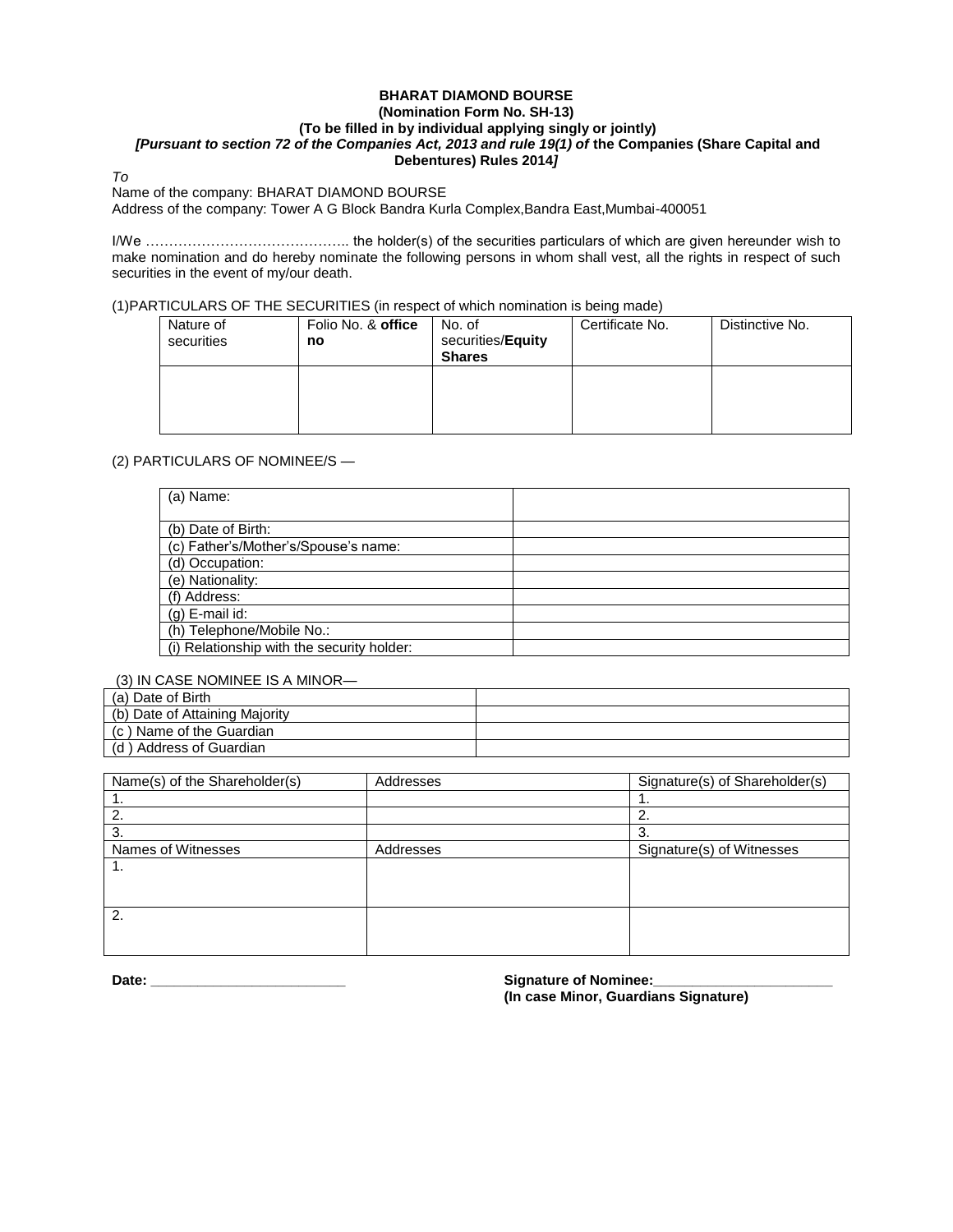## **BHARAT DIAMOND BOURSE (Nomination Form No. SH-13) (To be filled in by individual applying singly or jointly)** *[Pursuant to section 72 of the Companies Act, 2013 and rule 19(1) of* **the Companies (Share Capital and Debentures) Rules 2014***]*

#### *To*

Name of the company: BHARAT DIAMOND BOURSE

Address of the company: Tower A G Block Bandra Kurla Complex,Bandra East,Mumbai-400051

I/We …………………………………….. the holder(s) of the securities particulars of which are given hereunder wish to make nomination and do hereby nominate the following persons in whom shall vest, all the rights in respect of such securities in the event of my/our death.

(1)PARTICULARS OF THE SECURITIES (in respect of which nomination is being made)

| Nature of<br>securities | Folio No. & office<br>no | No. of<br>securities/Equity<br><b>Shares</b> | Certificate No. | Distinctive No. |
|-------------------------|--------------------------|----------------------------------------------|-----------------|-----------------|
|                         |                          |                                              |                 |                 |

# (2) PARTICULARS OF NOMINEE/S —

| (a) Name:                                  |  |
|--------------------------------------------|--|
|                                            |  |
| (b) Date of Birth:                         |  |
| (c) Father's/Mother's/Spouse's name:       |  |
| (d) Occupation:                            |  |
| (e) Nationality:                           |  |
| (f) Address:                               |  |
| $(g)$ E-mail id:                           |  |
| (h) Telephone/Mobile No.:                  |  |
| (i) Relationship with the security holder: |  |

## (3) IN CASE NOMINEE IS A MINOR—

| (a) Date of Birth              |  |
|--------------------------------|--|
| (b) Date of Attaining Majority |  |
| (c) Name of the Guardian       |  |
| (d) Address of Guardian        |  |

| Name(s) of the Shareholder(s) | Addresses | Signature(s) of Shareholder(s) |
|-------------------------------|-----------|--------------------------------|
|                               |           |                                |
| 2.                            |           | ົ<br>۷.                        |
| 3.                            |           | 3.                             |
| Names of Witnesses            | Addresses | Signature(s) of Witnesses      |
| . .                           |           |                                |
|                               |           |                                |
|                               |           |                                |
| 2.                            |           |                                |
|                               |           |                                |
|                               |           |                                |

**Date: \_\_\_\_\_\_\_\_\_\_\_\_\_\_\_\_\_\_\_\_\_\_\_\_\_ Signature of Nominee:\_\_\_\_\_\_\_\_\_\_\_\_\_\_\_\_\_\_\_\_\_\_\_**

**(In case Minor, Guardians Signature)**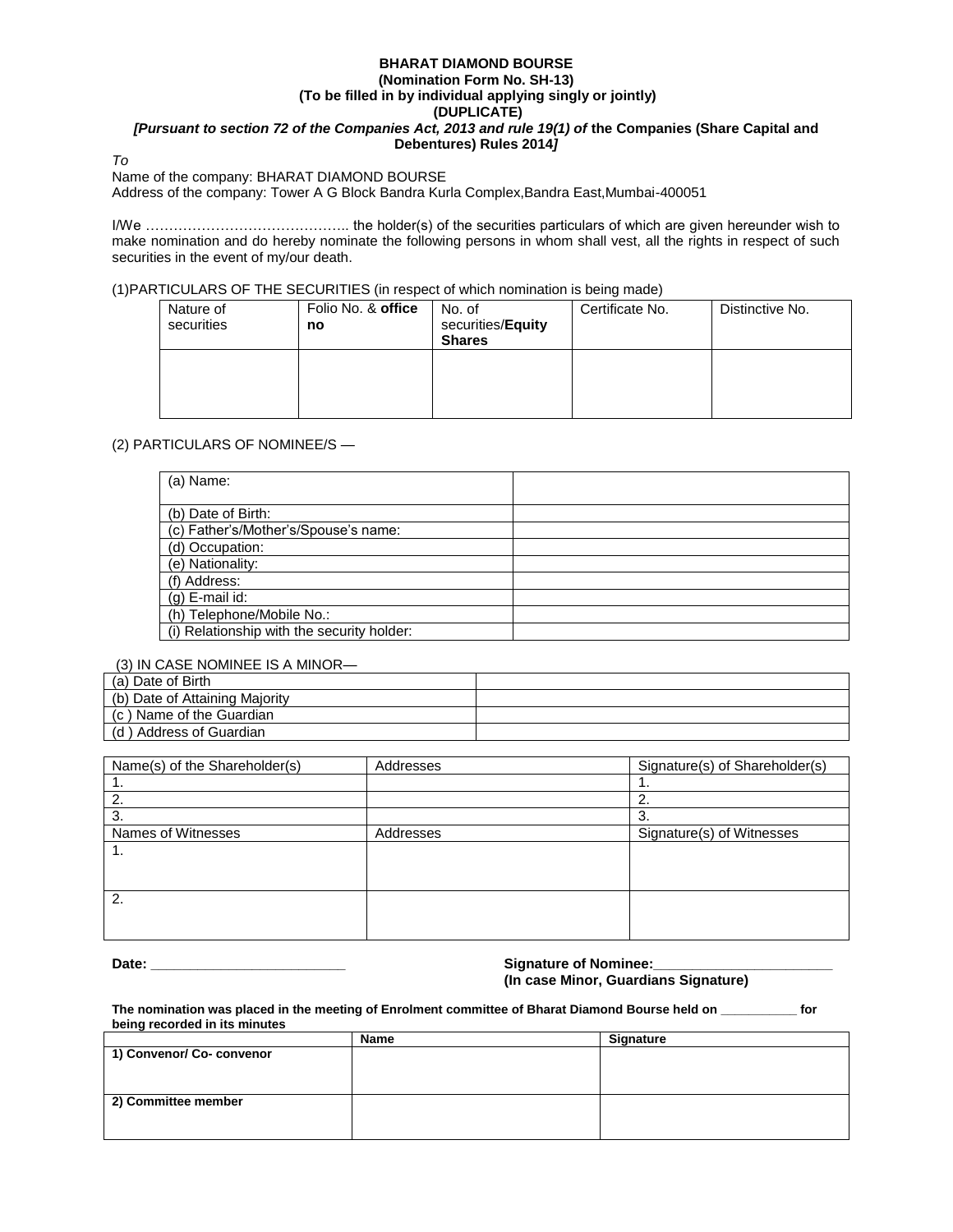## **BHARAT DIAMOND BOURSE (Nomination Form No. SH-13) (To be filled in by individual applying singly or jointly) (DUPLICATE)** *[Pursuant to section 72 of the Companies Act, 2013 and rule 19(1) of the Companies (Share Capital and* **Debentures) Rules 2014***]*

*To*

### Name of the company: BHARAT DIAMOND BOURSE

Address of the company: Tower A G Block Bandra Kurla Complex,Bandra East,Mumbai-400051

I/We …………………………………….. the holder(s) of the securities particulars of which are given hereunder wish to make nomination and do hereby nominate the following persons in whom shall vest, all the rights in respect of such securities in the event of my/our death.

# (1)PARTICULARS OF THE SECURITIES (in respect of which nomination is being made)

| Nature of<br>securities | Folio No. & office<br>no | No. of<br>securities/Equity<br><b>Shares</b> | Certificate No. | Distinctive No. |
|-------------------------|--------------------------|----------------------------------------------|-----------------|-----------------|
|                         |                          |                                              |                 |                 |

# (2) PARTICULARS OF NOMINEE/S —

| (a) Name:                                  |  |
|--------------------------------------------|--|
|                                            |  |
| (b) Date of Birth:                         |  |
| (c) Father's/Mother's/Spouse's name:       |  |
| (d) Occupation:                            |  |
| (e) Nationality:                           |  |
| (f) Address:                               |  |
| (g) E-mail id:                             |  |
| (h) Telephone/Mobile No.:                  |  |
| (i) Relationship with the security holder: |  |

## (3) IN CASE NOMINEE IS A MINOR—

| (a) Date of Birth              |  |
|--------------------------------|--|
| (b) Date of Attaining Majority |  |
| (c) Name of the Guardian       |  |
| (d) Address of Guardian        |  |

| Name(s) of the Shareholder(s) | Addresses | Signature(s) of Shareholder(s) |
|-------------------------------|-----------|--------------------------------|
|                               |           |                                |
|                               |           |                                |
|                               |           | ა.                             |
| Names of Witnesses            | Addresses | Signature(s) of Witnesses      |
| . .                           |           |                                |
|                               |           |                                |
|                               |           |                                |
| 2.                            |           |                                |
|                               |           |                                |
|                               |           |                                |

#### **Date: \_\_\_\_\_\_\_\_\_\_\_\_\_\_\_\_\_\_\_\_\_\_\_\_\_ Signature of Nominee:\_\_\_\_\_\_\_\_\_\_\_\_\_\_\_\_\_\_\_\_\_\_\_ (In case Minor, Guardians Signature)**

**The nomination was placed in the meeting of Enrolment committee of Bharat Diamond Bourse held on \_\_\_\_\_\_\_\_\_\_\_ for being recorded in its minutes**

|                           | Name | Signature |
|---------------------------|------|-----------|
| 1) Convenor/ Co- convenor |      |           |
|                           |      |           |
|                           |      |           |
|                           |      |           |
| 2) Committee member       |      |           |
|                           |      |           |
|                           |      |           |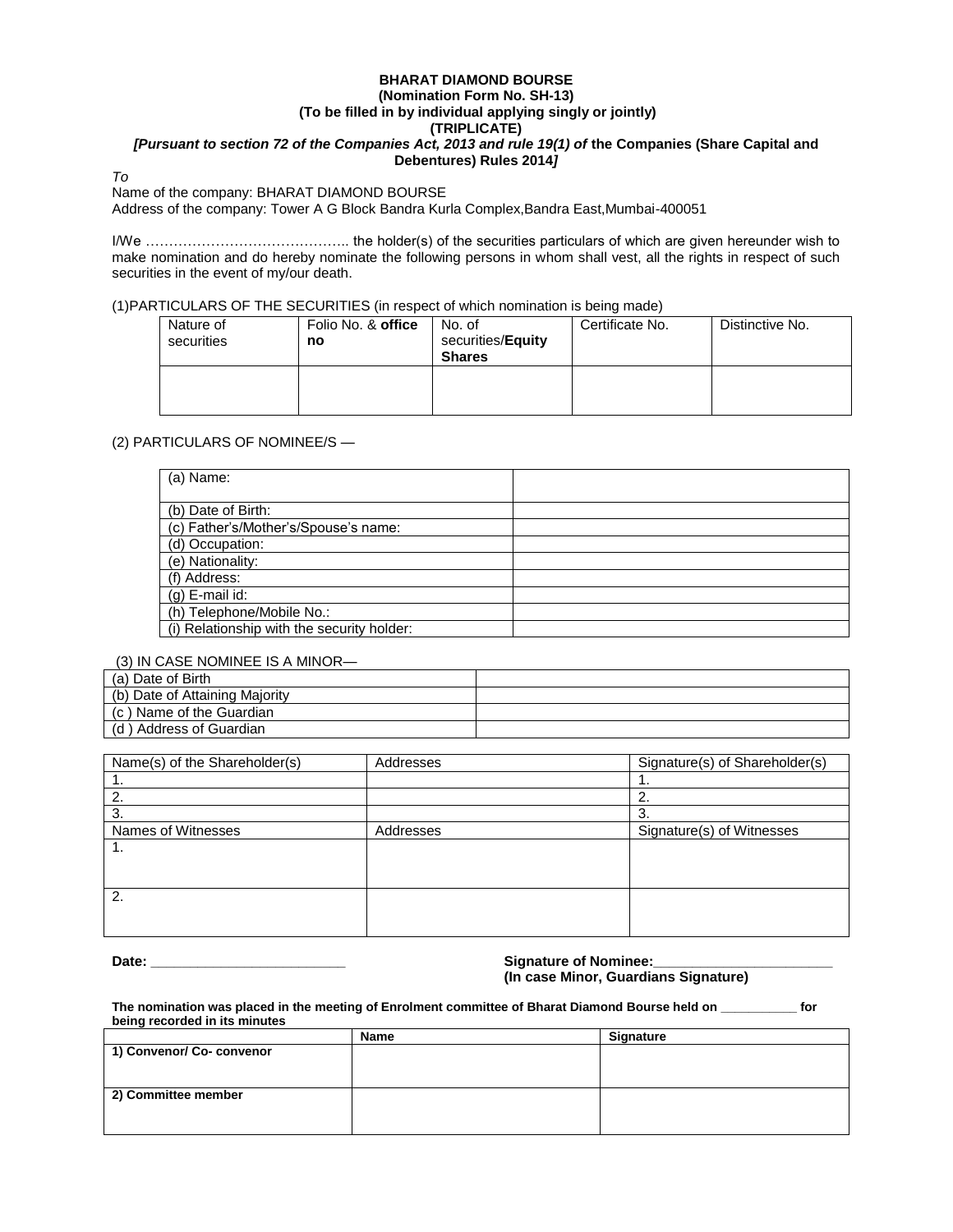### **BHARAT DIAMOND BOURSE (Nomination Form No. SH-13) (To be filled in by individual applying singly or jointly) (TRIPLICATE)** *[Pursuant to section 72 of the Companies Act, 2013 and rule 19(1) of* **the Companies (Share Capital and Debentures) Rules 2014***]*

*To*

#### Name of the company: BHARAT DIAMOND BOURSE

Address of the company: Tower A G Block Bandra Kurla Complex,Bandra East,Mumbai-400051

I/We …………………………………….. the holder(s) of the securities particulars of which are given hereunder wish to make nomination and do hereby nominate the following persons in whom shall vest, all the rights in respect of such securities in the event of my/our death.

(1)PARTICULARS OF THE SECURITIES (in respect of which nomination is being made)

| Nature of<br>securities | Folio No. & office<br>no | No. of<br>securities/Equity<br><b>Shares</b> | Certificate No. | Distinctive No. |
|-------------------------|--------------------------|----------------------------------------------|-----------------|-----------------|
|                         |                          |                                              |                 |                 |

#### (2) PARTICULARS OF NOMINEE/S —

| (a) Name:                                  |  |
|--------------------------------------------|--|
|                                            |  |
| (b) Date of Birth:                         |  |
| (c) Father's/Mother's/Spouse's name:       |  |
| (d) Occupation:                            |  |
| (e) Nationality:                           |  |
| (f) Address:                               |  |
| $(g)$ E-mail id:                           |  |
| (h) Telephone/Mobile No.:                  |  |
| (i) Relationship with the security holder: |  |

# (3) IN CASE NOMINEE IS A MINOR—

| (a) Date of Birth              |  |
|--------------------------------|--|
| (b) Date of Attaining Majority |  |
| (c) Name of the Guardian       |  |
| (d) Address of Guardian        |  |

| Name(s) of the Shareholder(s) | Addresses | Signature(s) of Shareholder(s) |
|-------------------------------|-----------|--------------------------------|
|                               |           |                                |
|                               |           | ۷.                             |
| 3.                            |           | 3.                             |
| Names of Witnesses            | Addresses | Signature(s) of Witnesses      |
| ι.                            |           |                                |
|                               |           |                                |
|                               |           |                                |
| $\overline{2}$ .              |           |                                |
|                               |           |                                |
|                               |           |                                |

#### **Date: \_\_\_\_\_\_\_\_\_\_\_\_\_\_\_\_\_\_\_\_\_\_\_\_\_ Signature of Nominee:\_\_\_\_\_\_\_\_\_\_\_\_\_\_\_\_\_\_\_\_\_\_\_ (In case Minor, Guardians Signature)**

**The nomination was placed in the meeting of Enrolment committee of Bharat Diamond Bourse held on \_\_\_\_\_\_\_\_\_\_\_ for being recorded in its minutes**

|                           | <b>Name</b> | Signature |
|---------------------------|-------------|-----------|
| 1) Convenor/ Co- convenor |             |           |
|                           |             |           |
|                           |             |           |
| 2) Committee member       |             |           |
|                           |             |           |
|                           |             |           |
|                           |             |           |